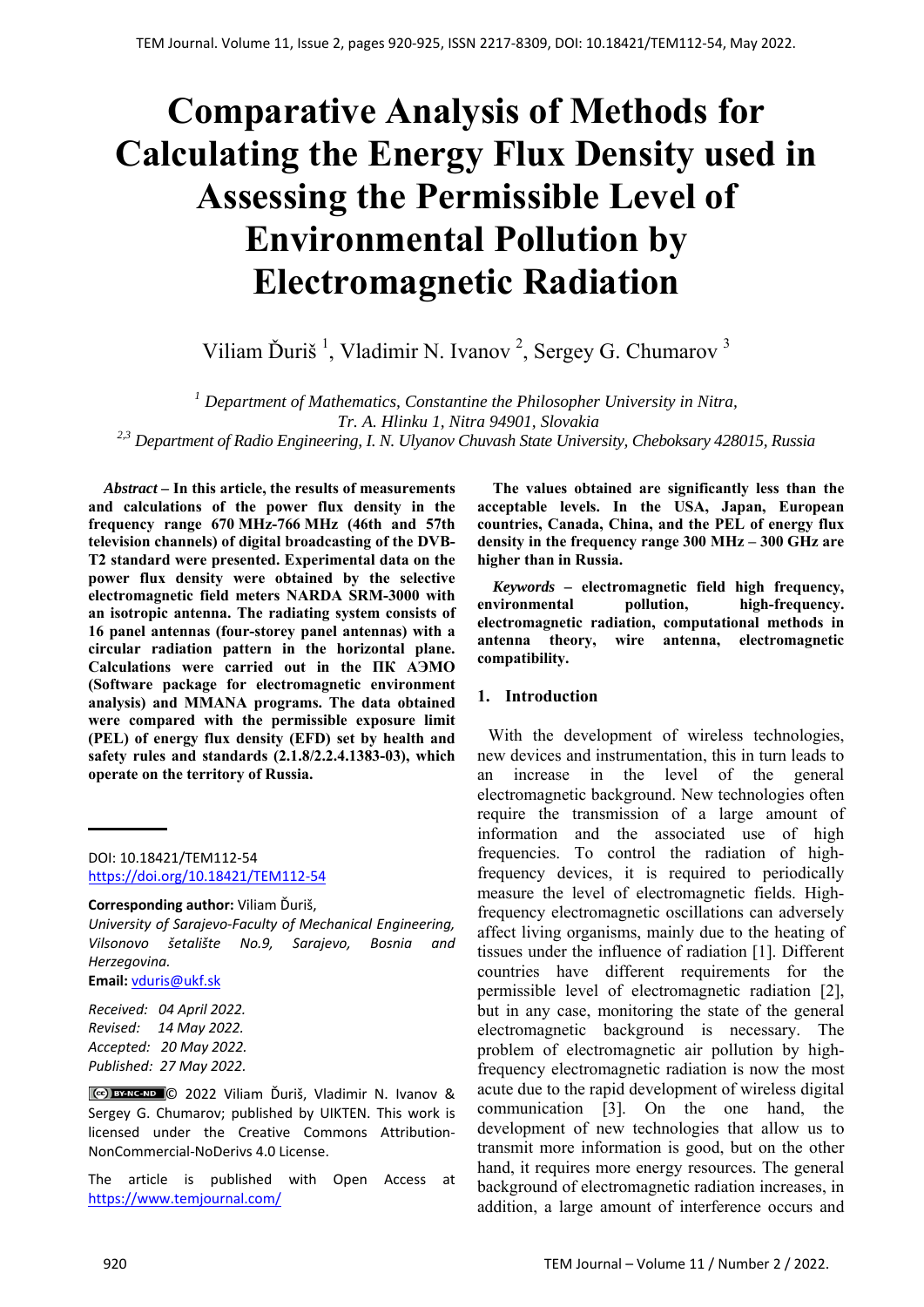# **Comparative Analysis of Methods for Calculating the Energy Flux Density used in Assessing the Permissible Level of Environmental Pollution by Electromagnetic Radiation**

Viliam Ďuriš<sup>1</sup>, Vladimir N. Ivanov<sup>2</sup>, Sergey G. Chumarov<sup>3</sup>

*<sup>1</sup> Department of Mathematics, Constantine the Philosopher University in Nitra, Tr. A. Hlinku 1, Nitra 94901, Slovakia* 

*2,3 Department of Radio Engineering, I. N. Ulyanov Chuvash State University, Cheboksary 428015, Russia* 

*Abstract –* **In this article, the results of measurements and calculations of the power flux density in the frequency range 670 MHz-766 MHz (46th and 57th television channels) of digital broadcasting of the DVB-T2 standard were presented. Experimental data on the power flux density were obtained by the selective electromagnetic field meters NARDA SRM-3000 with an isotropic antenna. The radiating system consists of 16 panel antennas (four-storey panel antennas) with a circular radiation pattern in the horizontal plane. Calculations were carried out in the ПК АЭМО (Software package for electromagnetic environment analysis) and MMANA programs. The data obtained were compared with the permissible exposure limit (PEL) of energy flux density (EFD) set by health and safety rules and standards (2.1.8/2.2.4.1383-03), which operate on the territory of Russia.** 

DOI: 10.18421/TEM112-54 [https://doi.org/10.18421/TEM112](https://doi.org/10.18421/TEM112-54)-54

#### **Corresponding author:** Viliam Ďuriš,

*University of Sarajevo‐Faculty of Mechanical Engineering, Vilsonovo šetalište No.9, Sarajevo, Bosnia and Herzegovina.* 

**Email:** vduris@ukf.sk

*Received: 04 April 2022. Revised: 14 May 2022. Accepted: 20 May 2022. Published: 27 May 2022.* 

© 2022 Viliam Ďuriš, Vladimir N. Ivanov & Sergey G. Chumarov; published by UIKTEN. This work is licensed under the Creative Commons Attribution‐ NonCommercial‐NoDerivs 4.0 License.

The article is published with Open Access at https://www.temjournal.com/

**The values obtained are significantly less than the acceptable levels. In the USA, Japan, European countries, Canada, China, and the PEL of energy flux density in the frequency range 300 MHz – 300 GHz are higher than in Russia.** 

*Keywords –* **electromagnetic field high frequency, environmental pollution, high-frequency. electromagnetic radiation, computational methods in antenna theory, wire antenna, electromagnetic compatibility.** 

## **1. Introduction**

With the development of wireless technologies, new devices and instrumentation, this in turn leads to an increase in the level of the general electromagnetic background. New technologies often require the transmission of a large amount of information and the associated use of high frequencies. To control the radiation of highfrequency devices, it is required to periodically measure the level of electromagnetic fields. Highfrequency electromagnetic oscillations can adversely affect living organisms, mainly due to the heating of tissues under the influence of radiation [1]. Different countries have different requirements for the permissible level of electromagnetic radiation [2], but in any case, monitoring the state of the general electromagnetic background is necessary. The problem of electromagnetic air pollution by highfrequency electromagnetic radiation is now the most acute due to the rapid development of wireless digital communication [3]. On the one hand, the development of new technologies that allow us to transmit more information is good, but on the other hand, it requires more energy resources. The general background of electromagnetic radiation increases, in addition, a large amount of interference occurs and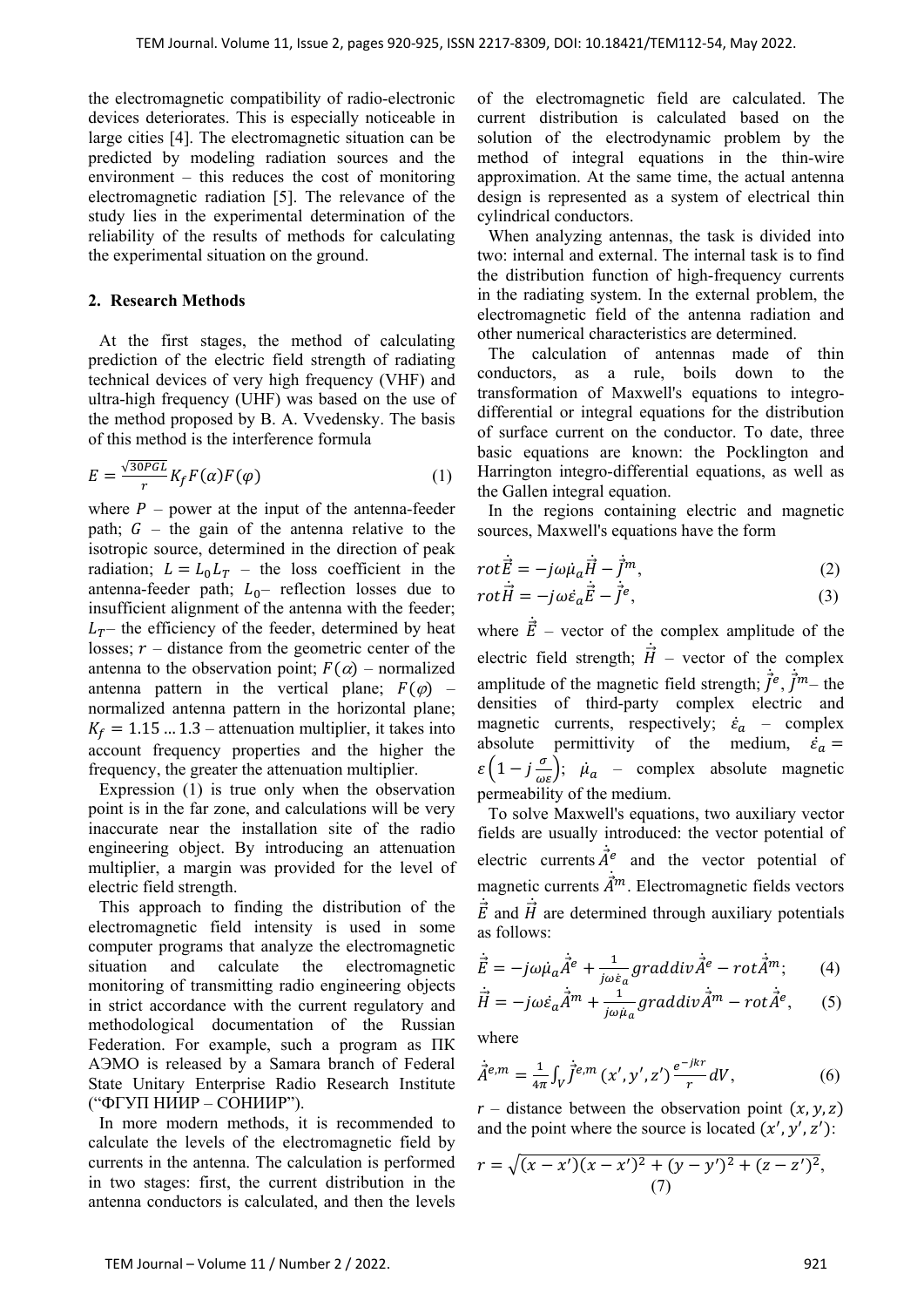the electromagnetic compatibility of radio-electronic devices deteriorates. This is especially noticeable in large cities [4]. The electromagnetic situation can be predicted by modeling radiation sources and the environment – this reduces the cost of monitoring electromagnetic radiation [5]. The relevance of the study lies in the experimental determination of the reliability of the results of methods for calculating the experimental situation on the ground.

### **2. Research Methods**

 At the first stages, the method of calculating prediction of the electric field strength of radiating technical devices of very high frequency (VHF) and ultra-high frequency (UHF) was based on the use of the method proposed by B. A. Vvedensky. The basis of this method is the interference formula

$$
E = \frac{\sqrt{30PGL}}{r} K_f F(\alpha) F(\varphi)
$$
 (1)

where  $P$  – power at the input of the antenna-feeder path;  $G$  – the gain of the antenna relative to the isotropic source, determined in the direction of peak radiation;  $L = L_0 L_T$  – the loss coefficient in the antenna-feeder path;  $L_0$ - reflection losses due to insufficient alignment of the antenna with the feeder;  $L_T$ – the efficiency of the feeder, determined by heat losses;  $r -$  distance from the geometric center of the antenna to the observation point;  $F(\alpha)$  – normalized antenna pattern in the vertical plane;  $F(\varphi)$  – normalized antenna pattern in the horizontal plane;  $K_f = 1.15$  ... 1.3 – attenuation multiplier, it takes into account frequency properties and the higher the frequency, the greater the attenuation multiplier.

 Expression (1) is true only when the observation point is in the far zone, and calculations will be very inaccurate near the installation site of the radio engineering object. By introducing an attenuation multiplier, a margin was provided for the level of electric field strength.

 This approach to finding the distribution of the electromagnetic field intensity is used in some computer programs that analyze the electromagnetic situation and calculate the electromagnetic monitoring of transmitting radio engineering objects in strict accordance with the current regulatory and methodological documentation of the Russian Federation. For example, such a program as ПК АЭМО is released by a Samara branch of Federal State Unitary Enterprise Radio Research Institute ("ФГУП НИИР – СОНИИР").

 In more modern methods, it is recommended to calculate the levels of the electromagnetic field by currents in the antenna. The calculation is performed in two stages: first, the current distribution in the antenna conductors is calculated, and then the levels of the electromagnetic field are calculated. The current distribution is calculated based on the solution of the electrodynamic problem by the method of integral equations in the thin-wire approximation. At the same time, the actual antenna design is represented as a system of electrical thin cylindrical conductors.

 When analyzing antennas, the task is divided into two: internal and external. The internal task is to find the distribution function of high-frequency currents in the radiating system. In the external problem, the electromagnetic field of the antenna radiation and other numerical characteristics are determined.

 The calculation of antennas made of thin conductors, as a rule, boils down to the transformation of Maxwell's equations to integrodifferential or integral equations for the distribution of surface current on the conductor. To date, three basic equations are known: the Pocklington and Harrington integro-differential equations, as well as the Gallen integral equation.

 In the regions containing electric and magnetic sources, Maxwell's equations have the form

$$
rot\vec{E} = -j\omega\mu_a\vec{H} - \vec{f}^m,
$$
\n
$$
rot\vec{H} = -j\omega\vec{g}\cdot\vec{E} - \vec{f}^e
$$
\n(2)

$$
rot\dot{\vec{H}} = -j\omega\dot{\varepsilon}_a\dot{\vec{E}} - \dot{\vec{J}}^e,\tag{3}
$$

where  $\vec{E}$  – vector of the complex amplitude of the ሶ electric field strength;  $\vec{H}$  – vector of the complex ሶ amplitude of the magnetic field strength;  $\vec{f}^e$ ,  $\vec{f}^m$  – the densities of third-party complex electric and magnetic currents, respectively;  $\dot{\epsilon}_a$  – complex absolute permittivity of the medium,  $\dot{\varepsilon}_a =$  $\varepsilon \left(1 - j \frac{\sigma}{\omega \varepsilon}\right); \quad \mu_a$  – complex absolute magnetic permeability of the medium.

 To solve Maxwell's equations, two auxiliary vector fields are usually introduced: the vector potential of electric currents  $\vec{A}^e$  and the vector potential of ሶ magnetic currents  $\vec{A}^m$ . Electromagnetic fields vectors ሶ  $\vec{E}$  and  $\vec{H}$  are determined through auxiliary potentials ሶ ሶ as follows:

$$
\vec{E} = -j\omega\dot{\mu}_a \dot{\vec{A}}^e + \frac{1}{j\omega\varepsilon_a} graddiv\vec{A}^e - rot\vec{A}^m; \qquad (4)
$$

$$
\dot{\vec{H}} = -j\omega \dot{\varepsilon}_a \dot{\vec{A}}^m + \frac{1}{j\omega \mu_a} graddiv \dot{\vec{A}}^m - rot \dot{\vec{A}}^e, \qquad (5)
$$

where

$$
\dot{\vec{A}}^{e,m} = \frac{1}{4\pi} \int_{V} \dot{\vec{J}}^{e,m} (x', y', z') \frac{e^{-jkr}}{r} dV, \tag{6}
$$

 $r$  – distance between the observation point  $(x, y, z)$ and the point where the source is located  $(x', y', z')$ :

$$
r = \sqrt{(x - x')(x - x')^{2} + (y - y')^{2} + (z - z')^{2}},
$$
  
(7)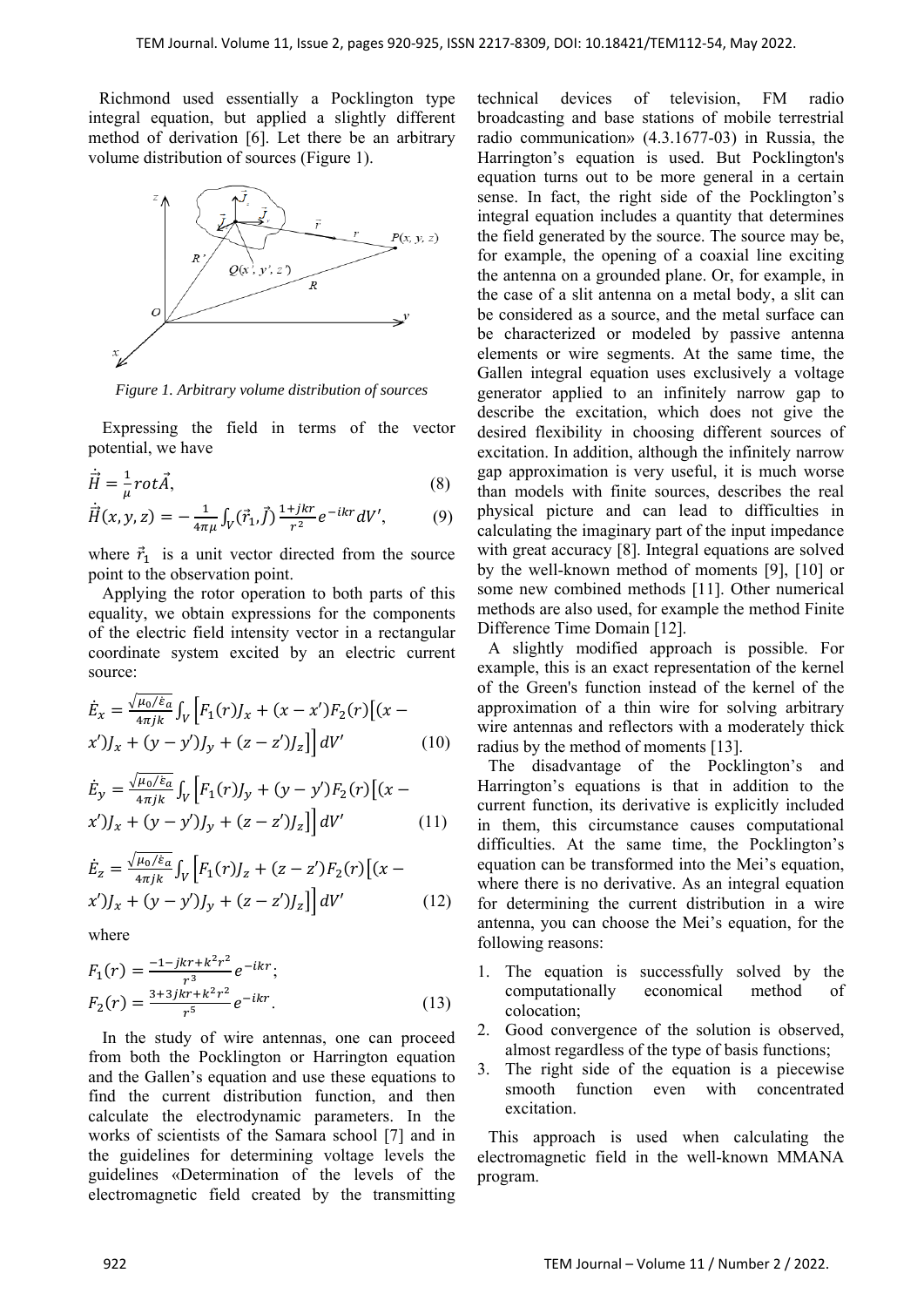Richmond used essentially a Pocklington type integral equation, but applied a slightly different method of derivation [6]. Let there be an arbitrary volume distribution of sources (Figure 1).



*Figure 1. Arbitrary volume distribution of sources*

Expressing the field in terms of the vector potential, we have

$$
\dot{\vec{H}} = \frac{1}{\mu} rot \vec{A},\tag{8}
$$

$$
\dot{\vec{H}}(x, y, z) = -\frac{1}{4\pi\mu} \int_V (\vec{r}_1, \vec{f}) \frac{1 + jkr}{r^2} e^{-ikr} dV', \tag{9}
$$

where  $\vec{r}_1$  is a unit vector directed from the source point to the observation point.

Applying the rotor operation to both parts of this equality, we obtain expressions for the components of the electric field intensity vector in a rectangular coordinate system excited by an electric current source:

$$
\dot{E}_x = \frac{\sqrt{\mu_0/\dot{\varepsilon}_a}}{4\pi jk} \int_V \left[ F_1(r) J_x + (x - x') F_2(r) \left[ (x - x') J_x + (y - y') J_y + (z - z') J_z \right] \right] dV'
$$
\n(10)

$$
\dot{E}_y = \frac{\sqrt{\mu_0/\varepsilon_a}}{4\pi jk} \int_V \left[ F_1(r) J_y + (y - y') F_2(r) \left[ (x - x') J_x + (y - y') J_y + (z - z') J_z \right] \right] dV'
$$
(11)

$$
\dot{E}_z = \frac{\sqrt{\mu_0/\varepsilon_a}}{4\pi jk} \int_V \left[ F_1(r) J_z + (z - z') F_2(r) \left[ (x - x') J_x + (y - y') J_y + (z - z') J_z \right] \right] dV' \tag{12}
$$

where

$$
F_1(r) = \frac{-1 - jkr + k^2r^2}{r^3} e^{-ikr};
$$
  
\n
$$
F_2(r) = \frac{3 + 3jkr + k^2r^2}{r^5} e^{-ikr}.
$$
\n(13)

In the study of wire antennas, one can proceed from both the Pocklington or Harrington equation and the Gallen's equation and use these equations to find the current distribution function, and then calculate the electrodynamic parameters. In the works of scientists of the Samara school [7] and in the guidelines for determining voltage levels the guidelines «Determination of the levels of the electromagnetic field created by the transmitting

technical devices of television, FM radio broadcasting and base stations of mobile terrestrial radio communication» (4.3.1677-03) in Russia, the Harrington's equation is used. But Pocklington's equation turns out to be more general in a certain sense. In fact, the right side of the Pocklington's integral equation includes a quantity that determines the field generated by the source. The source may be, for example, the opening of a coaxial line exciting the antenna on a grounded plane. Or, for example, in the case of a slit antenna on a metal body, a slit can be considered as a source, and the metal surface can be characterized or modeled by passive antenna elements or wire segments. At the same time, the Gallen integral equation uses exclusively a voltage generator applied to an infinitely narrow gap to describe the excitation, which does not give the desired flexibility in choosing different sources of excitation. In addition, although the infinitely narrow gap approximation is very useful, it is much worse than models with finite sources, describes the real physical picture and can lead to difficulties in calculating the imaginary part of the input impedance with great accuracy [8]. Integral equations are solved by the well-known method of moments [9], [10] or some new combined methods [11]. Other numerical methods are also used, for example the method Finite Difference Time Domain [12].

 A slightly modified approach is possible. For example, this is an exact representation of the kernel of the Green's function instead of the kernel of the approximation of a thin wire for solving arbitrary wire antennas and reflectors with a moderately thick radius by the method of moments [13].

 The disadvantage of the Pocklington's and Harrington's equations is that in addition to the current function, its derivative is explicitly included in them, this circumstance causes computational difficulties. At the same time, the Pocklington's equation can be transformed into the Mei's equation, where there is no derivative. As an integral equation for determining the current distribution in a wire antenna, you can choose the Mei's equation, for the following reasons:

- 1. The equation is successfully solved by the computationally economical method of colocation;
- 2. Good convergence of the solution is observed, almost regardless of the type of basis functions;
- 3. The right side of the equation is a piecewise smooth function even with concentrated excitation.

 This approach is used when calculating the electromagnetic field in the well-known MMANA program.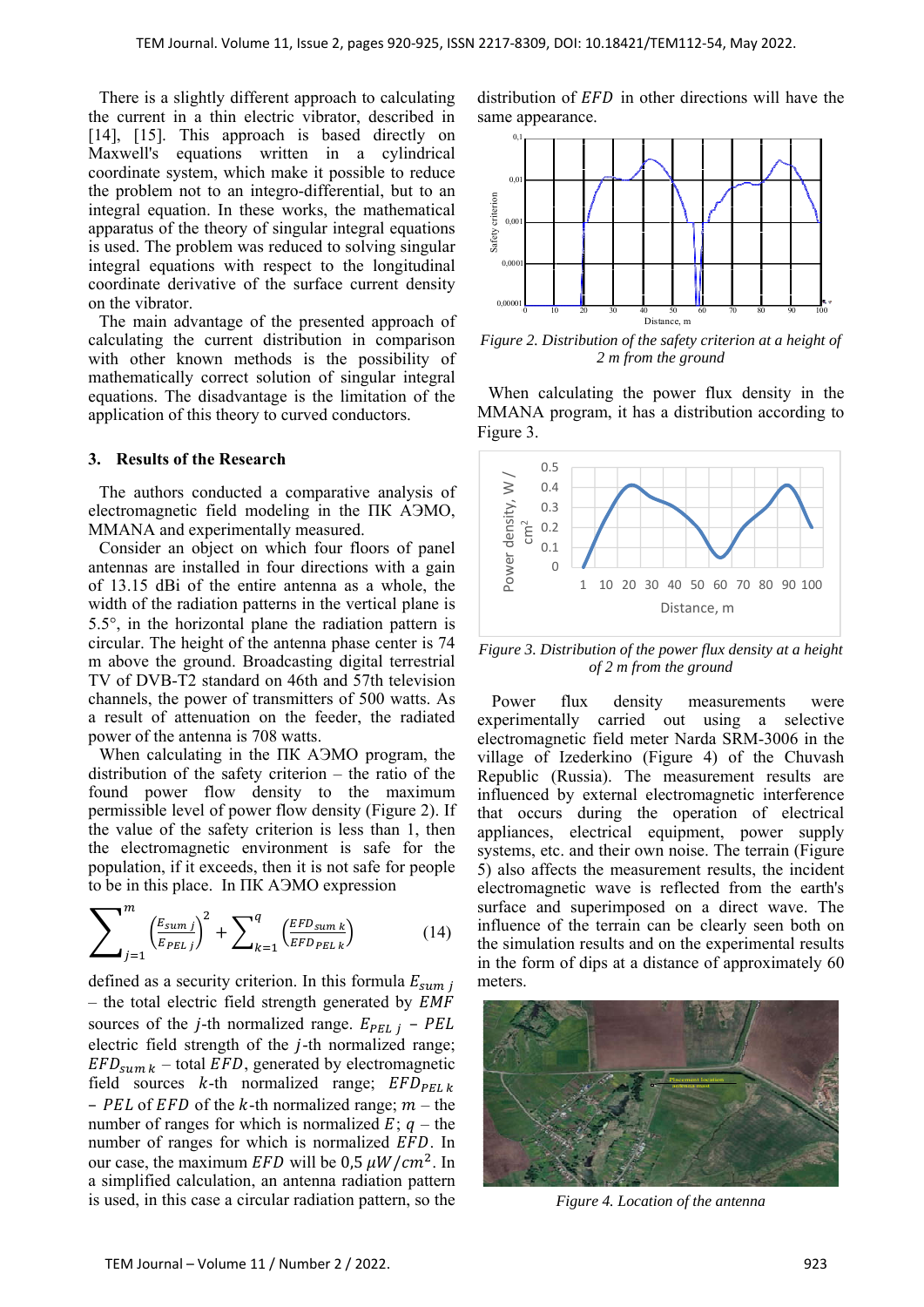There is a slightly different approach to calculating the current in a thin electric vibrator, described in [14], [15]. This approach is based directly on Maxwell's equations written in a cylindrical coordinate system, which make it possible to reduce the problem not to an integro-differential, but to an integral equation. In these works, the mathematical apparatus of the theory of singular integral equations is used. The problem was reduced to solving singular integral equations with respect to the longitudinal coordinate derivative of the surface current density on the vibrator.

 The main advantage of the presented approach of calculating the current distribution in comparison with other known methods is the possibility of mathematically correct solution of singular integral equations. The disadvantage is the limitation of the application of this theory to curved conductors.

#### **3. Results of the Research**

 The authors conducted a comparative analysis of electromagnetic field modeling in the ПК АЭМО, MMANA and experimentally measured.

 Consider an object on which four floors of panel antennas are installed in four directions with a gain of 13.15 dBi of the entire antenna as a whole, the width of the radiation patterns in the vertical plane is  $5.5^{\circ}$ , in the horizontal plane the radiation pattern is circular. The height of the antenna phase center is 74 m above the ground. Broadcasting digital terrestrial TV of DVB-T2 standard on 46th and 57th television channels, the power of transmitters of 500 watts. As a result of attenuation on the feeder, the radiated power of the antenna is 708 watts.

 When calculating in the ПК АЭМО program, the distribution of the safety criterion – the ratio of the found power flow density to the maximum permissible level of power flow density (Figure 2). If the value of the safety criterion is less than 1, then the electromagnetic environment is safe for the population, if it exceeds, then it is not safe for people to be in this place. In ПК АЭМО expression

$$
\sum_{j=1}^{m} \left(\frac{E_{sumj}}{E_{PELj}}\right)^2 + \sum_{k=1}^{q} \left(\frac{EFD_{sumk}}{EFD_{PELk}}\right) \tag{14}
$$

defined as a security criterion. In this formula  $E_{sum}$ – the total electric field strength generated by  $EMF$ sources of the *j*-th normalized range.  $E_{PELj}$  – PEL electric field strength of the  $j$ -th normalized range;  $EFD_{sum k}$  – total  $EFD$ , generated by electromagnetic field sources  $k$ -th normalized range;  $EFD_{PEL k}$ – PEL of EFD of the k-th normalized range;  $m$  – the number of ranges for which is normalized  $E$ ;  $q$  – the number of ranges for which is normalized EFD. In our case, the maximum *EFD* will be 0,5  $\mu W/cm^2$ . In a simplified calculation, an antenna radiation pattern is used, in this case a circular radiation pattern, so the distribution of  $EFD$  in other directions will have the same appearance.



*Figure 2. Distribution of the safety criterion at a height of 2 m from the ground* 

 When calculating the power flux density in the MMANA program, it has a distribution according to Figure 3.



*Figure 3. Distribution of the power flux density at a height of 2 m from the ground*

Power flux density measurements were experimentally carried out using a selective electromagnetic field meter Narda SRM-3006 in the village of Izederkino (Figure 4) of the Chuvash Republic (Russia). The measurement results are influenced by external electromagnetic interference that occurs during the operation of electrical appliances, electrical equipment, power supply systems, etc. and their own noise. The terrain (Figure 5) also affects the measurement results, the incident electromagnetic wave is reflected from the earth's surface and superimposed on a direct wave. The influence of the terrain can be clearly seen both on the simulation results and on the experimental results in the form of dips at a distance of approximately 60 meters.



*Figure 4. Location of the antenna*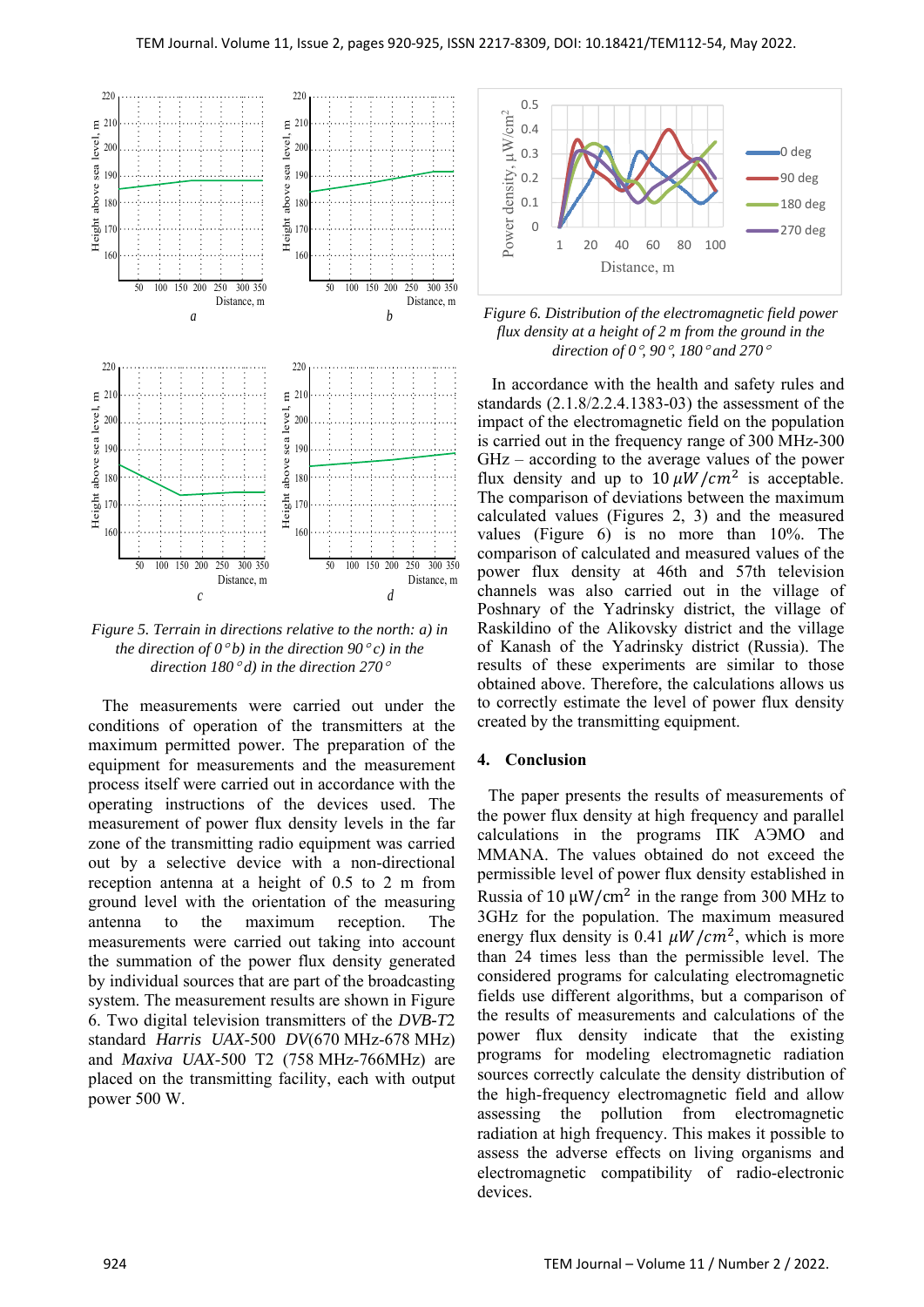

*Figure 5. Terrain in directions relative to the north: a) in the direction of*  $0^{\circ}b$ *) in the direction*  $90^{\circ}c$ *) in the direction 180 d) in the direction 270*

The measurements were carried out under the conditions of operation of the transmitters at the maximum permitted power. The preparation of the equipment for measurements and the measurement process itself were carried out in accordance with the operating instructions of the devices used. The measurement of power flux density levels in the far zone of the transmitting radio equipment was carried out by a selective device with a non-directional reception antenna at a height of 0.5 to 2 m from ground level with the orientation of the measuring antenna to the maximum reception. The measurements were carried out taking into account the summation of the power flux density generated by individual sources that are part of the broadcasting system. The measurement results are shown in Figure 6. Two digital television transmitters of the *DVB-T*2 standard *Harris UAX*-500 *DV*(670 MHz-678 MHz) and *Maxiva UAX*-500 T2 (758 MHz-766MHz) are placed on the transmitting facility, each with output power 500 W.



*Figure 6. Distribution of the electromagnetic field power flux density at a height of 2 m from the ground in the direction of 0, 90, 180 and 270*

In accordance with the health and safety rules and standards (2.1.8/2.2.4.1383-03) the assessment of the impact of the electromagnetic field on the population is carried out in the frequency range of 300 MHz-300 GHz – according to the average values of the power flux density and up to  $10 \mu W/cm^2$  is acceptable. The comparison of deviations between the maximum calculated values (Figures 2, 3) and the measured values (Figure 6) is no more than 10%. The comparison of calculated and measured values of the power flux density at 46th and 57th television channels was also carried out in the village of Poshnary of the Yadrinsky district, the village of Raskildino of the Alikovsky district and the village of Kanash of the Yadrinsky district (Russia). The results of these experiments are similar to those obtained above. Therefore, the calculations allows us to correctly estimate the level of power flux density created by the transmitting equipment.

## **4. Conclusion**

 The paper presents the results of measurements of the power flux density at high frequency and parallel calculations in the programs ПК АЭМО and MMANA. The values obtained do not exceed the permissible level of power flux density established in Russia of 10  $\mu$ W/cm<sup>2</sup> in the range from 300 MHz to 3GHz for the population. The maximum measured energy flux density is 0.41  $\mu W/cm^2$ , which is more than 24 times less than the permissible level. The considered programs for calculating electromagnetic fields use different algorithms, but a comparison of the results of measurements and calculations of the power flux density indicate that the existing programs for modeling electromagnetic radiation sources correctly calculate the density distribution of the high-frequency electromagnetic field and allow assessing the pollution from electromagnetic radiation at high frequency. This makes it possible to assess the adverse effects on living organisms and electromagnetic compatibility of radio-electronic devices.